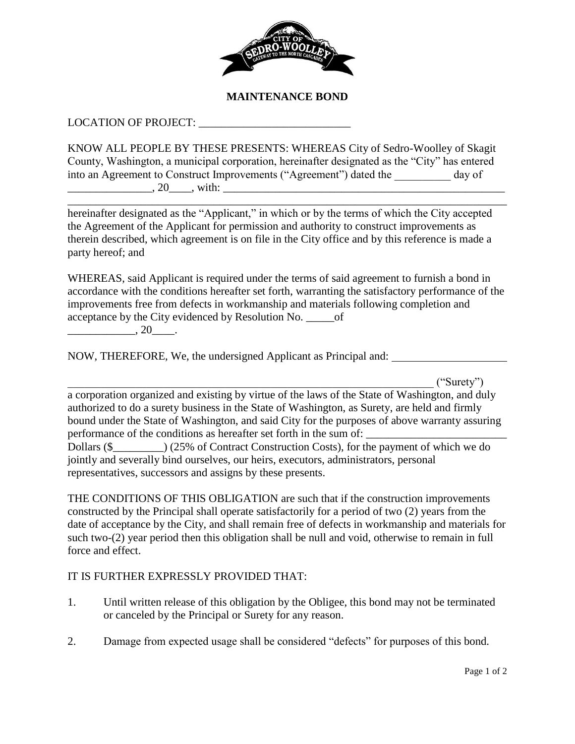

## **MAINTENANCE BOND**

LOCATION OF PROJECT:

KNOW ALL PEOPLE BY THESE PRESENTS: WHEREAS City of Sedro-Woolley of Skagit County, Washington, a municipal corporation, hereinafter designated as the "City" has entered into an Agreement to Construct Improvements ("Agreement") dated the \_\_\_\_\_\_\_\_\_\_ day of  $, 20 \qquad ,$  with:

\_\_\_\_\_\_\_\_\_\_\_\_\_\_\_\_\_\_\_\_\_\_\_\_\_\_\_\_\_\_\_\_\_\_\_\_\_\_\_\_\_\_\_\_\_\_\_\_\_\_\_\_\_\_\_\_\_\_\_\_\_\_\_\_\_\_\_\_\_\_\_\_\_\_\_\_\_\_ hereinafter designated as the "Applicant," in which or by the terms of which the City accepted the Agreement of the Applicant for permission and authority to construct improvements as therein described, which agreement is on file in the City office and by this reference is made a party hereof; and

WHEREAS, said Applicant is required under the terms of said agreement to furnish a bond in accordance with the conditions hereafter set forth, warranting the satisfactory performance of the improvements free from defects in workmanship and materials following completion and acceptance by the City evidenced by Resolution No. \_\_\_\_\_of *\_\_\_\_\_\_\_\_\_\_*\_\_, 20\_\_\_\_.

NOW, THEREFORE, We, the undersigned Applicant as Principal and:

 $('``Surety")$ 

a corporation organized and existing by virtue of the laws of the State of Washington, and duly authorized to do a surety business in the State of Washington, as Surety, are held and firmly bound under the State of Washington, and said City for the purposes of above warranty assuring performance of the conditions as hereafter set forth in the sum of: Dollars (\$  $\qquad$  ) (25% of Contract Construction Costs), for the payment of which we do jointly and severally bind ourselves, our heirs, executors, administrators, personal

representatives, successors and assigns by these presents.

THE CONDITIONS OF THIS OBLIGATION are such that if the construction improvements constructed by the Principal shall operate satisfactorily for a period of two (2) years from the date of acceptance by the City, and shall remain free of defects in workmanship and materials for such two-(2) year period then this obligation shall be null and void, otherwise to remain in full force and effect.

IT IS FURTHER EXPRESSLY PROVIDED THAT:

- 1. Until written release of this obligation by the Obligee, this bond may not be terminated or canceled by the Principal or Surety for any reason.
- 2. Damage from expected usage shall be considered "defects" for purposes of this bond.